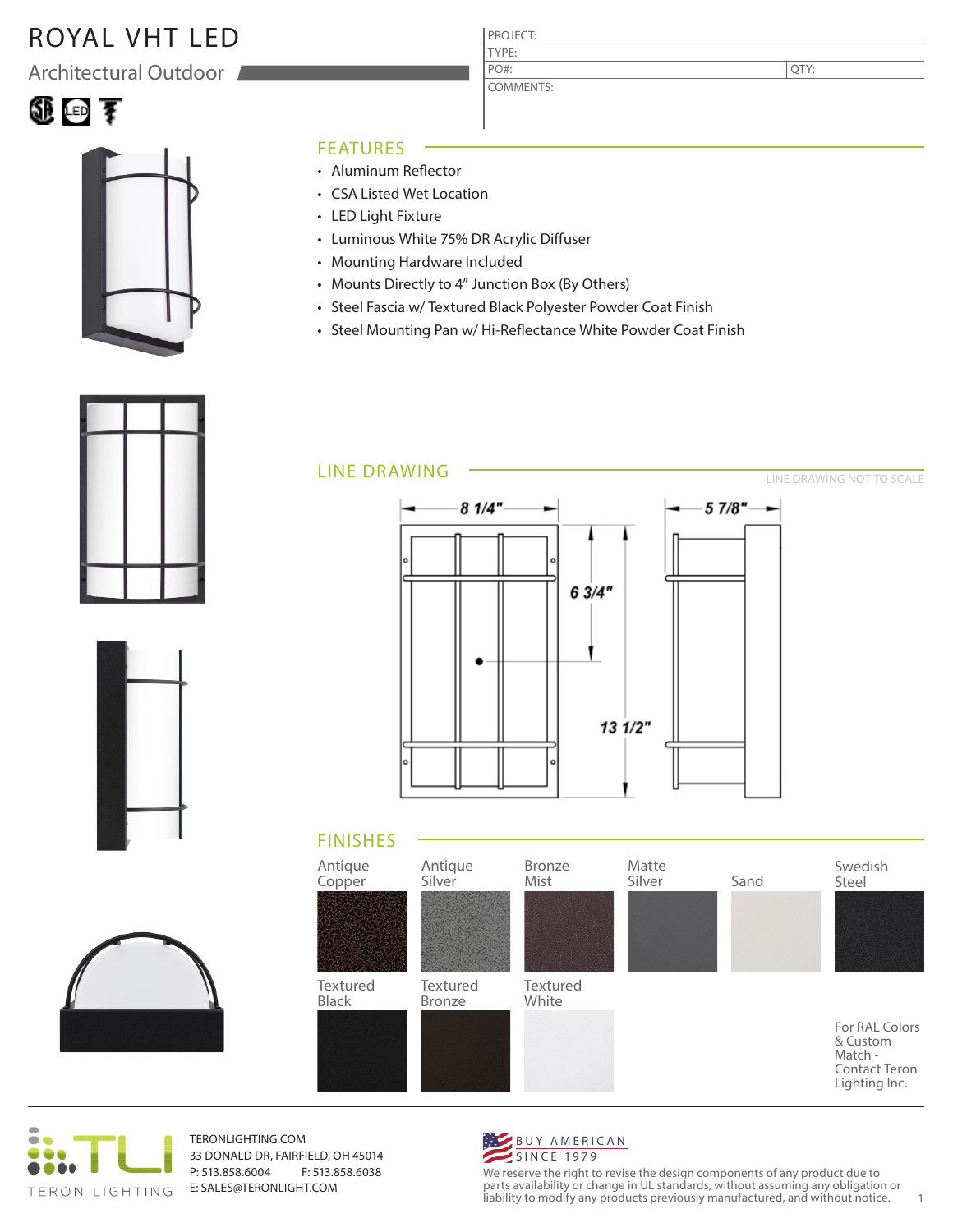# ROYAL VHT LED

Architectural Outdoor

# ①画す



#### FEATURES

- Aluminum Reflector
- CSA Listed Wet Location
- LED Light Fixture
- Luminous White 75% DR Acrylic Diffuser
- Mounting Hardware Included
- Mounts Directly to 4" Junction Box (By Others)
- Steel Fascia w/ Textured Black Polyester Powder Coat Finish

PROJECT: TYPE:

PO#:

COMMENTS:

• Steel Mounting Pan w/ Hi-Reflectance White Powder Coat Finish



#### LINE DRAWING







TERONLIGHTING.COM 33 DONALD DR, FAIRFIELD, OH 45014 P: 513.858.6004 F: 513.858.6038 E: SALES@TERONLIGHT.COM



We reserve the right to revise the design components of any product due to parts availability or change in UL standards, without assuming any obligation or liability to modify any products previously manufactured, and without notice. 1

QTY:

LINE DRAWING NOT TO SCALE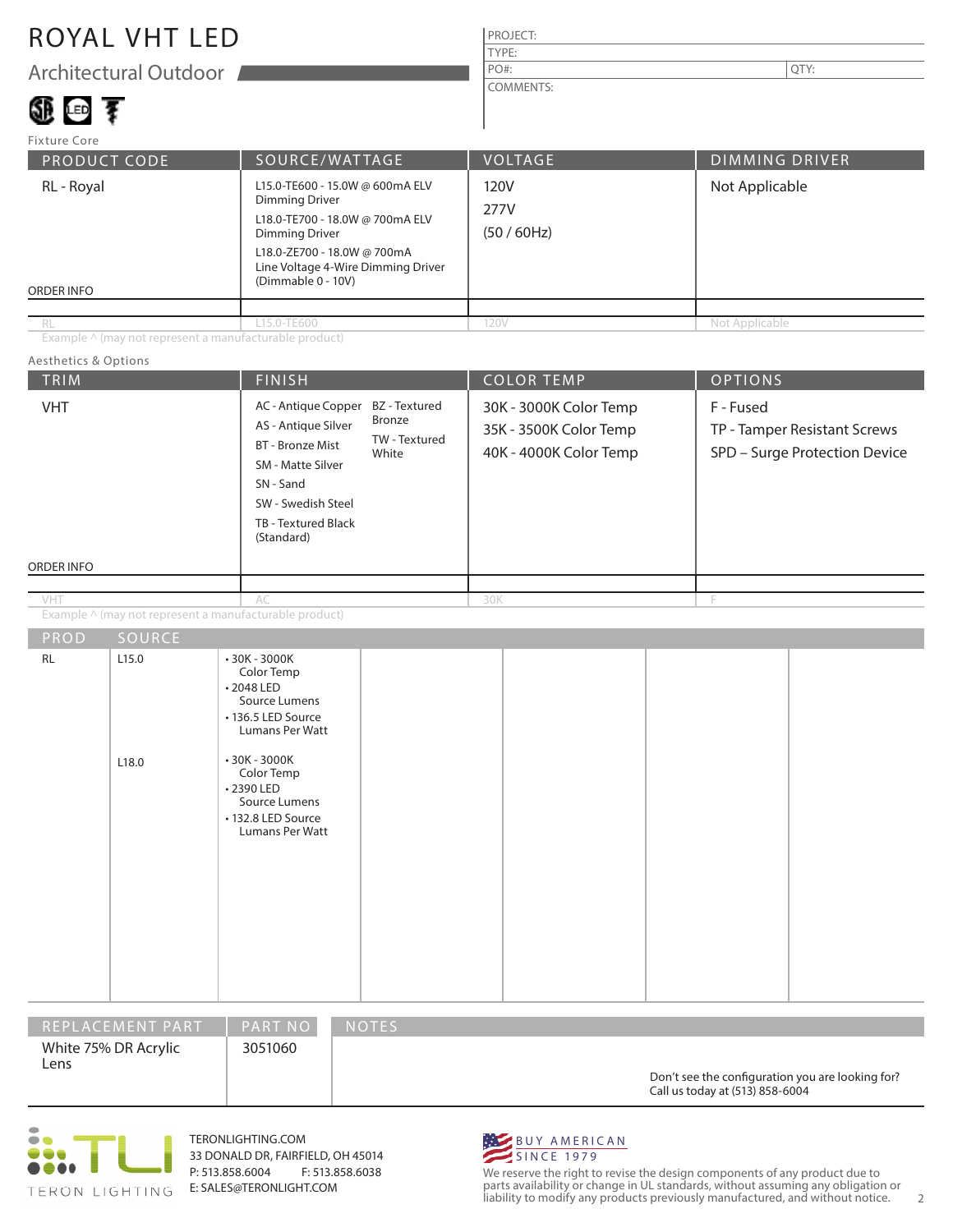### ROYAL VHT LED

Architectural Outdoor

# 領画す

#### PROJECT: TYPE: COMMENTS: PO#:  $\vert$  QTY:

| Fixture Core             |                                                                                                                                                                                                          |                           |                       |  |
|--------------------------|----------------------------------------------------------------------------------------------------------------------------------------------------------------------------------------------------------|---------------------------|-----------------------|--|
| <b>PRODUCT CODE</b>      | SOURCE/WATTAGE                                                                                                                                                                                           | <b>VOLTAGE</b>            | <b>DIMMING DRIVER</b> |  |
| RL - Royal<br>ORDER INFO | L15.0-TE600 - 15.0W @ 600mA ELV<br>Dimming Driver<br>L18.0-TE700 - 18.0W @ 700mA ELV<br><b>Dimming Driver</b><br>L18.0-ZE700 - 18.0W @ 700mA<br>Line Voltage 4-Wire Dimming Driver<br>(Dimmable 0 - 10V) | 120V<br>277V<br>(50/60Hz) | Not Applicable        |  |
|                          |                                                                                                                                                                                                          |                           |                       |  |
| <b>RL</b>                | L15.0-TE600                                                                                                                                                                                              | 120V                      | Not Applicable        |  |

Example ^ (may not represent a manufacturable product)

#### TRIM  $\begin{array}{|c|c|c|c|c|c|}\hline \text{FINISH} & \text{COLOR TEMP} & \text{OPTIONS} \ \hline \end{array}$ ORDER INFO Aesthetics & Options PROD SOURCE Example ^ (may not represent a manufacturable product) 30K - 3000K Color Temp 35K - 3500K Color Temp 40K - 4000K Color Temp F - Fused TP - Tamper Resistant Screws SPD – Surge Protection Device AC - Antique Copper BZ - Textured AS - Antique Silver BT - Bronze Mist SM - Matte Silver SN - Sand SW - Swedish Steel TB - Textured Black (Standard) AC 30K F RL 2.15.0 L18.0 • 30K - 3000K Color Temp • 2048 LED Source Lumens • 136.5 LED Source Lumans Per Watt • 30K - 3000K Color Temp • 2390 LED Source Lumens • 132.8 LED Source Lumans Per Watt Bronze TW - Textured White VHT VHT

| IREPLACEMENT PART '          | <b>PART NO</b> | <b>NOTES</b>                                                                        |
|------------------------------|----------------|-------------------------------------------------------------------------------------|
| White 75% DR Acrylic<br>Lens | 3051060        | Don't see the configuration you are looking for?<br>Call us today at (513) 858-6004 |



TERONLIGHTING.COM 33 DONALD DR, FAIRFIELD, OH 45014 P: 513.858.6004 F: 513.858.6038 E: SALES@TERONLIGHT.COM



We reserve the right to revise the design components of any product due to parts availability or change in UL standards, without assuming any obligation or liability to modify any products previously manufactured, and without notice. 2